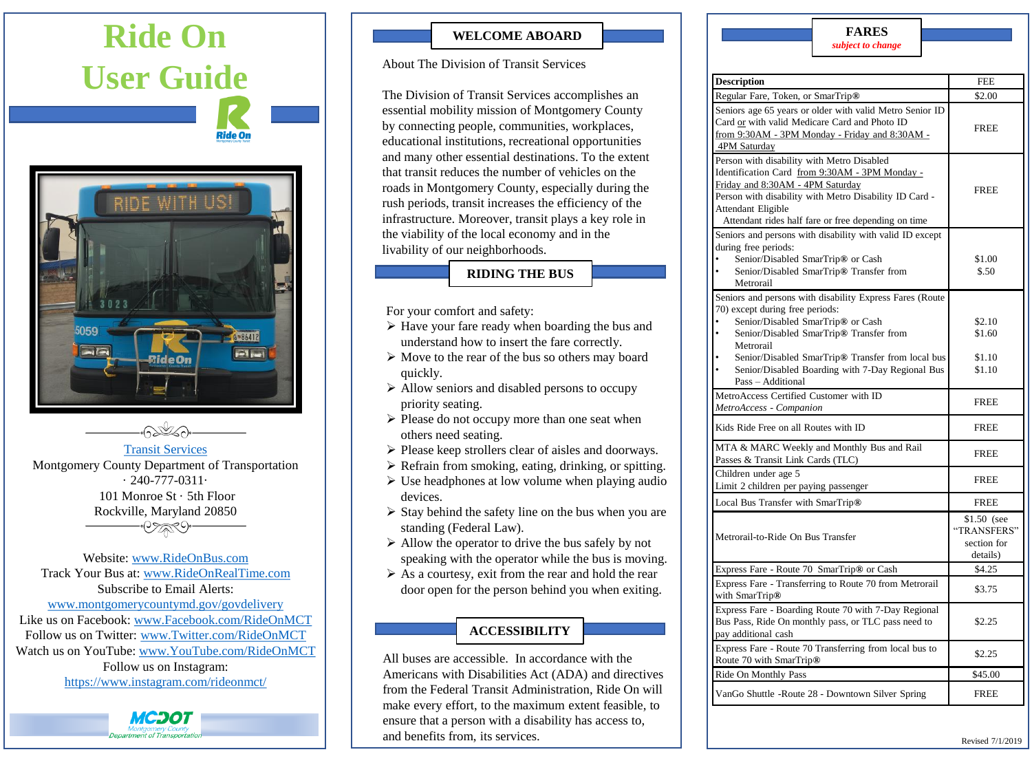# **Ride On User Guide Ride On** RIDE WITH 86412  $P$



#### [Transit Services](http://www.montgomerycountymd.gov/dot-transit/index.html)

Montgomery County Department of Transportation · 240-777-0311· 101 Monroe St · 5th Floor Rockville, Maryland 20850 •0>ar0•

Website:<www.RideOnBus.com> Track Your Bus at:<www.RideOnRealTime.com> Subscribe to Email Alerts: <www.montgomerycountymd.gov/govdelivery> Like us on Facebook: <www.Facebook.com/RideOnMCT> Follow us on Twitter: <www.Twitter.com/RideOnMCT> Watch us on YouTube: [www.YouTube.com/RideOnMCT](http://www.youtube.com/RideOnMCT) Follow us on Instagram: <https://www.instagram.com/rideonmct/>

## **WELCOME ABOARD**

#### About The Division of Transit Services

The Division of Transit Services accomplishes an essential mobility mission of Montgomery County by connecting people, communities, workplaces, educational institutions, recreational opportunities and many other essential destinations. To the extent that transit reduces the number of vehicles on the roads in Montgomery County, especially during the rush periods, transit increases the efficiency of the infrastructure. Moreover, transit plays a key role in the viability of the local economy and in the livability of our neighborhoods.

#### **RIDING THE BUS**

For your comfort and safety:

- ➢ Have your fare ready when boarding the bus and understand how to insert the fare correctly.
- ➢ Move to the rear of the bus so others may board quickly.
- ➢ Allow seniors and disabled persons to occupy priority seating.
- ➢ Please do not occupy more than one seat when others need seating.
- ➢ Please keep strollers clear of aisles and doorways.
- $\triangleright$  Refrain from smoking, eating, drinking, or spitting.
- $\triangleright$  Use headphones at low volume when playing audio devices.
- $\triangleright$  Stay behind the safety line on the bus when you are standing (Federal Law).
- ➢ Allow the operator to drive the bus safely by not speaking with the operator while the bus is moving.
- $\triangleright$  As a courtesy, exit from the rear and hold the rear door open for the person behind you when exiting.

## **ACCESSIBILITY**

All buses are accessible. In accordance with the Americans with Disabilities Act (ADA) and directives from the Federal Transit Administration, Ride On will make every effort, to the maximum extent feasible, to ensure that a person with a disability has access to, and benefits from, its services.

## **FARES**

|  | subject to change |
|--|-------------------|
|  |                   |

| <b>Description</b>                                                                                                                                                                                                                                                      | <b>FEE</b>                                            |
|-------------------------------------------------------------------------------------------------------------------------------------------------------------------------------------------------------------------------------------------------------------------------|-------------------------------------------------------|
|                                                                                                                                                                                                                                                                         |                                                       |
| Regular Fare, Token, or SmarTrip®                                                                                                                                                                                                                                       | \$2.00                                                |
| Seniors age 65 years or older with valid Metro Senior ID<br>Card or with valid Medicare Card and Photo ID<br>from 9:30AM - 3PM Monday - Friday and 8:30AM -<br>4PM Saturday                                                                                             | <b>FREE</b>                                           |
| Person with disability with Metro Disabled<br>Identification Card from 9:30AM - 3PM Monday -<br>Friday and 8:30AM - 4PM Saturday<br>Person with disability with Metro Disability ID Card -<br>Attendant Eligible<br>Attendant rides half fare or free depending on time | <b>FREE</b>                                           |
| Seniors and persons with disability with valid ID except<br>during free periods:<br>Senior/Disabled SmarTrip® or Cash<br>Senior/Disabled SmarTrip® Transfer from<br>Metrorail                                                                                           | \$1.00<br>\$.50                                       |
| Seniors and persons with disability Express Fares (Route<br>70) except during free periods:<br>Senior/Disabled SmarTrip® or Cash<br>Senior/Disabled SmarTrip® Transfer from<br>Metrorail                                                                                | \$2.10<br>\$1.60                                      |
| Senior/Disabled SmarTrip® Transfer from local bus<br>Senior/Disabled Boarding with 7-Day Regional Bus<br>Pass - Additional                                                                                                                                              | \$1.10<br>\$1.10                                      |
| MetroAccess Certified Customer with ID<br>MetroAccess - Companion                                                                                                                                                                                                       | <b>FREE</b>                                           |
| Kids Ride Free on all Routes with ID                                                                                                                                                                                                                                    | <b>FREE</b>                                           |
| MTA & MARC Weekly and Monthly Bus and Rail<br>Passes & Transit Link Cards (TLC)                                                                                                                                                                                         | <b>FREE</b>                                           |
| Children under age 5<br>Limit 2 children per paying passenger                                                                                                                                                                                                           | <b>FREE</b>                                           |
| Local Bus Transfer with SmarTrip®                                                                                                                                                                                                                                       | <b>FREE</b>                                           |
| Metrorail-to-Ride On Bus Transfer                                                                                                                                                                                                                                       | \$1.50 (see<br>"TRANSFERS"<br>section for<br>details) |
| Express Fare - Route 70 SmarTrip® or Cash                                                                                                                                                                                                                               | \$4.25                                                |
| Express Fare - Transferring to Route 70 from Metrorail<br>with SmarTrip <sup>®</sup>                                                                                                                                                                                    | \$3.75                                                |
| Express Fare - Boarding Route 70 with 7-Day Regional<br>Bus Pass, Ride On monthly pass, or TLC pass need to<br>pay additional cash                                                                                                                                      | \$2.25                                                |
| Express Fare - Route 70 Transferring from local bus to<br>Route 70 with SmarTrip®                                                                                                                                                                                       | \$2.25                                                |
| Ride On Monthly Pass                                                                                                                                                                                                                                                    | \$45.00                                               |
| VanGo Shuttle -Route 28 - Downtown Silver Spring                                                                                                                                                                                                                        | <b>FREE</b>                                           |
|                                                                                                                                                                                                                                                                         |                                                       |

Revised 7/1/2019